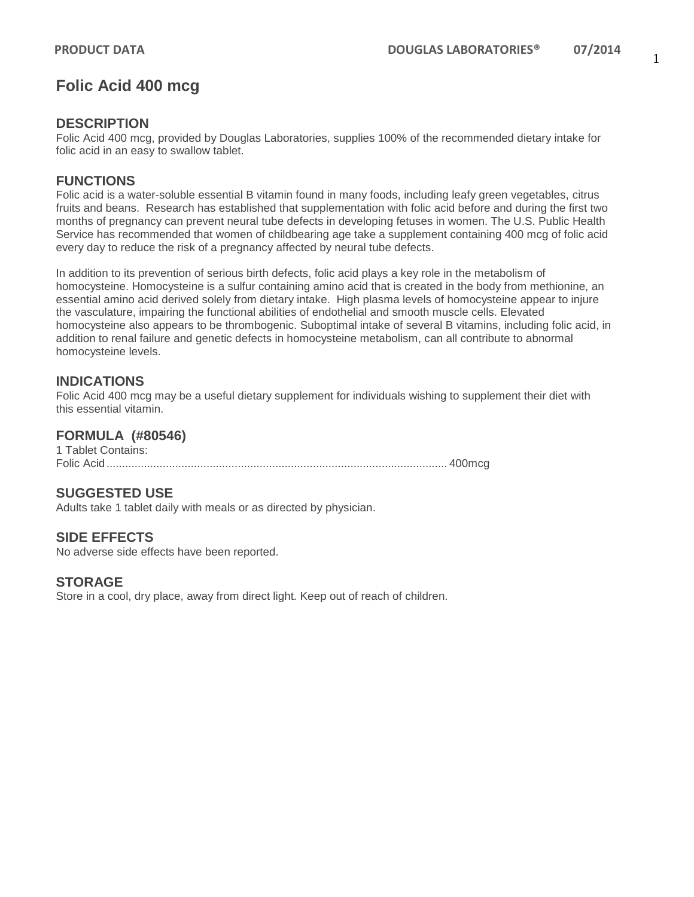# **Folic Acid 400 mcg**

## **DESCRIPTION**

Folic Acid 400 mcg, provided by Douglas Laboratories, supplies 100% of the recommended dietary intake for folic acid in an easy to swallow tablet.

## **FUNCTIONS**

Folic acid is a water-soluble essential B vitamin found in many foods, including leafy green vegetables, citrus fruits and beans. Research has established that supplementation with folic acid before and during the first two months of pregnancy can prevent neural tube defects in developing fetuses in women. The U.S. Public Health Service has recommended that women of childbearing age take a supplement containing 400 mcg of folic acid every day to reduce the risk of a pregnancy affected by neural tube defects.

In addition to its prevention of serious birth defects, folic acid plays a key role in the metabolism of homocysteine. Homocysteine is a sulfur containing amino acid that is created in the body from methionine, an essential amino acid derived solely from dietary intake. High plasma levels of homocysteine appear to injure the vasculature, impairing the functional abilities of endothelial and smooth muscle cells. Elevated homocysteine also appears to be thrombogenic. Suboptimal intake of several B vitamins, including folic acid, in addition to renal failure and genetic defects in homocysteine metabolism, can all contribute to abnormal homocysteine levels.

## **INDICATIONS**

Folic Acid 400 mcg may be a useful dietary supplement for individuals wishing to supplement their diet with this essential vitamin.

### **FORMULA (#80546)**

1 Tablet Contains: Folic Acid............................................................................................................. 400mcg

### **SUGGESTED USE**

Adults take 1 tablet daily with meals or as directed by physician.

## **SIDE EFFECTS**

No adverse side effects have been reported.

### **STORAGE**

Store in a cool, dry place, away from direct light. Keep out of reach of children.